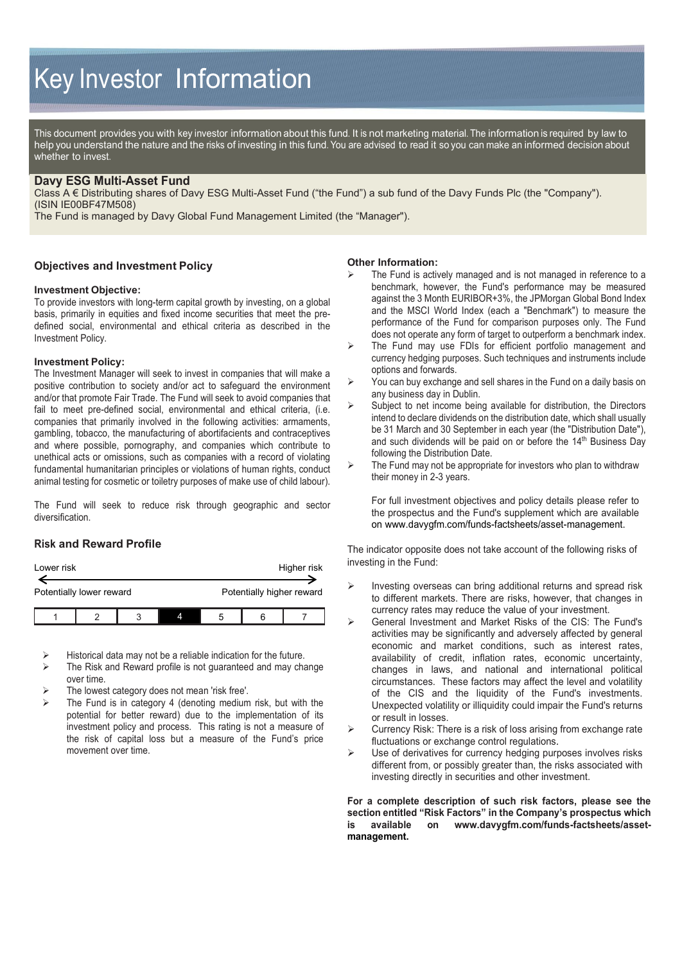# Key Investor Information

This document provides you with key investor information about this fund. It is not marketing material. The information is required by law to help you understand the nature and the risks of investing in this fund. You are advised to read it so you can make an informed decision about whether to invest.

# **Davy ESG Multi-Asset Fund**

Class A € Distributing shares of Davy ESG Multi-Asset Fund ("the Fund") a sub fund of the Davy Funds Plc (the "Company"). (ISIN IE00BF47M508)

The Fund is managed by Davy Global Fund Management Limited (the "Manager").

## **Objectives and Investment Policy**

### **Investment Objective:**

To provide investors with long-term capital growth by investing, on a global basis, primarily in equities and fixed income securities that meet the predefined social, environmental and ethical criteria as described in the Investment Policy.

#### **Investment Policy:**

The Investment Manager will seek to invest in companies that will make a positive contribution to society and/or act to safeguard the environment and/or that promote Fair Trade. The Fund will seek to avoid companies that fail to meet pre-defined social, environmental and ethical criteria, (i.e. companies that primarily involved in the following activities: armaments, gambling, tobacco, the manufacturing of abortifacients and contraceptives and where possible, pornography, and companies which contribute to unethical acts or omissions, such as companies with a record of violating fundamental humanitarian principles or violations of human rights, conduct animal testing for cosmetic or toiletry purposes of make use of child labour).

The Fund will seek to reduce risk through geographic and sector diversification.

# **Risk and Reward Profile**

| Lower risk               |  |  |  |   | Higher risk               |  |
|--------------------------|--|--|--|---|---------------------------|--|
| Potentially lower reward |  |  |  |   | Potentially higher reward |  |
|                          |  |  |  | 5 |                           |  |

Historical data may not be a reliable indication for the future.

- $\triangleright$  The Risk and Reward profile is not guaranteed and may change over time.
- The lowest category does not mean 'risk free'.
- The Fund is in category 4 (denoting medium risk, but with the potential for better reward) due to the implementation of its investment policy and process. This rating is not a measure of the risk of capital loss but a measure of the Fund's price movement over time.

#### **Other Information:**

- The Fund is actively managed and is not managed in reference to a benchmark, however, the Fund's performance may be measured against the 3 Month EURIBOR+3%, the JPMorgan Global Bond Index and the MSCI World Index (each a "Benchmark") to measure the performance of the Fund for comparison purposes only. The Fund does not operate any form of target to outperform a benchmark index.
- $\triangleright$  The Fund may use FDIs for efficient portfolio management and currency hedging purposes. Such techniques and instruments include options and forwards.
- You can buy exchange and sell shares in the Fund on a daily basis on any business day in Dublin.
- $\triangleright$  Subject to net income being available for distribution, the Directors intend to declare dividends on the distribution date, which shall usually be 31 March and 30 September in each year (the "Distribution Date"), and such dividends will be paid on or before the 14<sup>th</sup> Business Day following the Distribution Date.
- $\triangleright$  The Fund may not be appropriate for investors who plan to withdraw their money in 2-3 years.

For full investment objectives and policy details please refer to the prospectus and the Fund's supplement which are available on www.davygfm.com/funds-factsheets/asset-management.

The indicator opposite does not take account of the following risks of investing in the Fund:

- $\triangleright$  Investing overseas can bring additional returns and spread risk to different markets. There are risks, however, that changes in currency rates may reduce the value of your investment.
- General Investment and Market Risks of the CIS: The Fund's activities may be significantly and adversely affected by general economic and market conditions, such as interest rates, availability of credit, inflation rates, economic uncertainty, changes in laws, and national and international political circumstances. These factors may affect the level and volatility of the CIS and the liquidity of the Fund's investments. Unexpected volatility or illiquidity could impair the Fund's returns or result in losses.
- $\triangleright$  Currency Risk: There is a risk of loss arising from exchange rate fluctuations or exchange control regulations.
- $\triangleright$  Use of derivatives for currency hedging purposes involves risks different from, or possibly greater than, the risks associated with investing directly in securities and other investment.

**For a complete description of such risk factors, please see the section entitled "Risk Factors" in the Company's prospectus which is available on www.davygfm.com/funds-factsheets/assetmanagemen[t.](http://./)**